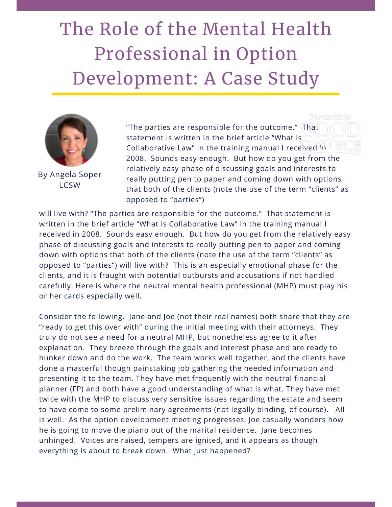## The Role of the Mental Health Professional in Option Development: A Case Study



By Angela Soper LCSW

"The parties are responsible for the outcome." That statement is written in the brief article "What is Collaborative Law" in the training manual I received in 2008. Sounds easy enough. But how do you get from the relatively easy phase of discussing goals and interests to really putting pen to paper and coming down with options that both of the clients (note the use of the term "clients" as opposed to "parties")

will live with? "The parties are responsible for the outcome." That statement is written in the brief article "What is Collaborative Law" in the training manual I received in 2008. Sounds easy enough. But how do you get from the relatively easy phase of discussing goals and interests to really putting pen to paper and coming down with options that both of the clients (note the use of the term "clients" as opposed to "parties") will live with? This is an especially emotional phase for the clients, and it is fraught with potential outbursts and accusations if not handled carefully. Here is where the neutral mental health professional (MHP) must play his or her cards especially well.

Consider the following. Jane and Joe (not their real names) both share that they are "ready to get this over with" during the initial meeting with their attorneys. They truly do not see a need for a neutral MHP, but nonetheless agree to it after explanation. They breeze through the goals and interest phase and are ready to hunker down and do the work. The team works well together, and the clients have done a masterful though painstaking job gathering the needed information and presenting it to the team. They have met frequently with the neutral financial planner (FP) and both have a good understanding of what is what. They have met twice with the MHP to discuss very sensitive issues regarding the estate and seem to have come to some preliminary agreements (not legally binding, of course). All is well. As the option development meeting progresses, Joe casually wonders how he is going to move the piano out of the marital residence. Jane becomes unhinged. Voices are raised, tempers are ignited, and it appears as though everything is about to break down. What just happened?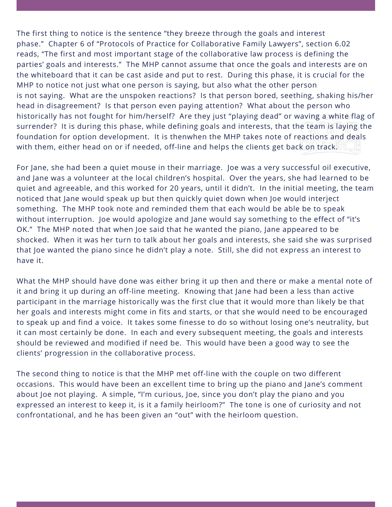The first thing to notice is the sentence "they breeze through the goals and interest phase." Chapter 6 of "Protocols of Practice for Collaborative Family Lawyers", section 6.02 reads, "The first and most important stage of the collaborative law process is defining the parties' goals and interests." The MHP cannot assume that once the goals and interests are on the whiteboard that it can be cast aside and put to rest. During this phase, it is crucial for the MHP to notice not just what one person is saying, but also what the other person is not saying. What are the unspoken reactions? Is that person bored, seething, shaking his/her head in disagreement? Is that person even paying attention? What about the person who historically has not fought for him/herself? Are they just "playing dead" or waving a white flag of surrender? It is during this phase, while defining goals and interests, that the team is laying the foundation for option development. It is thenwhen the MHP takes note of reactions and deals with them, either head on or if needed, off-line and helps the clients get back on track.

For Jane, she had been a quiet mouse in their marriage. Joe was a very successful oil executive, and Jane was a volunteer at the local children's hospital. Over the years, she had learned to be quiet and agreeable, and this worked for 20 years, until it didn't. In the initial meeting, the team noticed that Jane would speak up but then quickly quiet down when Joe would interject something. The MHP took note and reminded them that each would be able be to speak without interruption. Joe would apologize and Jane would say something to the effect of "it's OK." The MHP noted that when Joe said that he wanted the piano, Jane appeared to be shocked. When it was her turn to talk about her goals and interests, she said she was surprised that Joe wanted the piano since he didn't play a note. Still, she did not express an interest to have it.

What the MHP should have done was either bring it up then and there or make a mental note of it and bring it up during an off-line meeting. Knowing that Jane had been a less than active participant in the marriage historically was the first clue that it would more than likely be that her goals and interests might come in fits and starts, or that she would need to be encouraged to speak up and find a voice. It takes some finesse to do so without losing one's neutrality, but it can most certainly be done. In each and every subsequent meeting, the goals and interests should be reviewed and modified if need be. This would have been a good way to see the clients' progression in the collaborative process.

The second thing to notice is that the MHP met off-line with the couple on two different occasions. This would have been an excellent time to bring up the piano and Jane's comment about Joe not playing. A simple, "I'm curious, Joe, since you don't play the piano and you expressed an interest to keep it, is it a family heirloom?" The tone is one of curiosity and not confrontational, and he has been given an "out" with the heirloom question.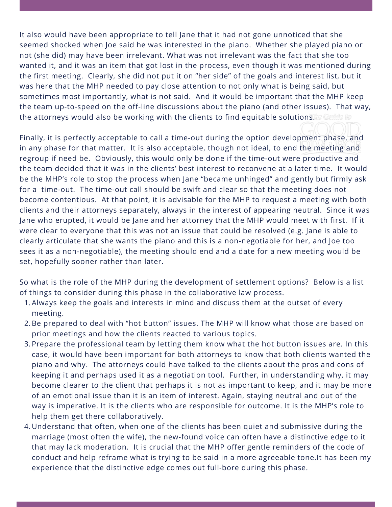It also would have been appropriate to tell Jane that it had not gone unnoticed that she seemed shocked when Joe said he was interested in the piano. Whether she played piano or not (she did) may have been irrelevant. What was not irrelevant was the fact that she too wanted it, and it was an item that got lost in the process, even though it was mentioned during the first meeting. Clearly, she did not put it on "her side" of the goals and interest list, but it was here that the MHP needed to pay close attention to not only what is being said, but sometimes most importantly, what is not said. And it would be important that the MHP keep the team up-to-speed on the off-line discussions about the piano (and other issues). That way, the attorneys would also be working with the clients to find equitable solutions. Chaids to

Finally, it is perfectly acceptable to call a time-out during the option development phase, and in any phase for that matter. It is also acceptable, though not ideal, to end the meeting and regroup if need be. Obviously, this would only be done if the time-out were productive and the team decided that it was in the clients' best interest to reconvene at a later time. It would be the MHP's role to stop the process when Jane "became unhinged" and gently but firmly ask for a time-out. The time-out call should be swift and clear so that the meeting does not become contentious. At that point, it is advisable for the MHP to request a meeting with both clients and their attorneys separately, always in the interest of appearing neutral. Since it was Jane who erupted, it would be Jane and her attorney that the MHP would meet with first. If it were clear to everyone that this was not an issue that could be resolved (e.g. Jane is able to clearly articulate that she wants the piano and this is a non-negotiable for her, and Joe too sees it as a non-negotiable), the meeting should end and a date for a new meeting would be set, hopefully sooner rather than later.

So what is the role of the MHP during the development of settlement options? Below is a list of things to consider during this phase in the collaborative law process.

- Always keep the goals and interests in mind and discuss them at the outset of every 1. meeting.
- 2.Be prepared to deal with "hot button" issues. The MHP will know what those are based on prior meetings and how the clients reacted to various topics.
- 3.Prepare the professional team by letting them know what the hot button issues are. In this case, it would have been important for both attorneys to know that both clients wanted the piano and why. The attorneys could have talked to the clients about the pros and cons of keeping it and perhaps used it as a negotiation tool. Further, in understanding why, it may become clearer to the client that perhaps it is not as important to keep, and it may be more of an emotional issue than it is an item of interest. Again, staying neutral and out of the way is imperative. It is the clients who are responsible for outcome. It is the MHP's role to help them get there collaboratively.
- Understand that often, when one of the clients has been quiet and submissive during the 4.marriage (most often the wife), the new-found voice can often have a distinctive edge to it that may lack moderation. It is crucial that the MHP offer gentle reminders of the code of conduct and help reframe what is trying to be said in a more agreeable tone.It has been my experience that the distinctive edge comes out full-bore during this phase.